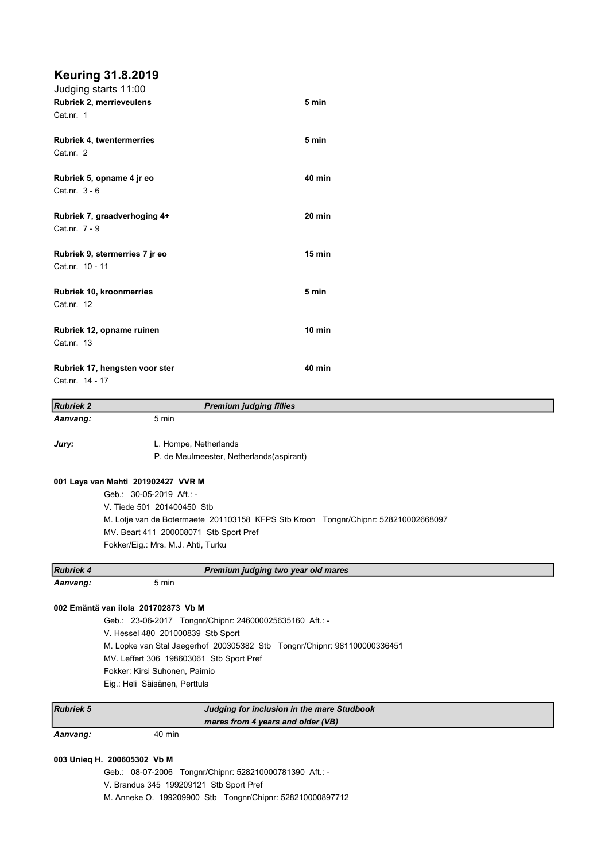# Keuring 31.8.2019

| Judging starts 11:00           |               |  |
|--------------------------------|---------------|--|
| Rubriek 2, merrieveulens       | 5 min         |  |
| Cat.nr. 1                      |               |  |
| Rubriek 4, twentermerries      | 5 min         |  |
| Cat.nr. 2                      |               |  |
| Rubriek 5, opname 4 jr eo      | <b>40 min</b> |  |
| Cat.nr. 3 - 6                  |               |  |
| Rubriek 7, graadverhoging 4+   | 20 min        |  |
| Cat.nr. 7 - 9                  |               |  |
| Rubriek 9, stermerries 7 jr eo | $15$ min      |  |
| Cat.nr. 10 - 11                |               |  |
| Rubriek 10, kroonmerries       | 5 min         |  |
| Cat.nr. 12                     |               |  |
| Rubriek 12, opname ruinen      | 10 min        |  |
| Cat.nr. 13                     |               |  |
| Rubriek 17, hengsten voor ster | <b>40 min</b> |  |
| Cat.nr. 14 - 17                |               |  |
|                                |               |  |

| <b>Rubriek 2</b> | <b>Premium judging fillies</b>                                                     |
|------------------|------------------------------------------------------------------------------------|
| Aanvang:         | 5 min                                                                              |
| Jury:            | L. Hompe, Netherlands                                                              |
|                  | P. de Meulmeester, Netherlands(aspirant)                                           |
|                  | 001 Leya van Mahti 201902427 VVR M                                                 |
|                  | Geb.: 30-05-2019 Aft.: -                                                           |
|                  | V. Tiede 501 201400450 Stb                                                         |
|                  | M. Lotje van de Botermaete 201103158 KFPS Stb Kroon Tongnr/Chipnr: 528210002668097 |
|                  | MV. Beart 411 200008071 Stb Sport Pref                                             |
|                  | Fokker/Eig.: Mrs. M.J. Ahti, Turku                                                 |
| <b>Rubriek 4</b> | Premium judging two year old mares                                                 |
| Aanvang:         | 5 min                                                                              |
|                  | 002 Emäntä van ilola 201702873 Vb M                                                |
|                  | Geb.: 23-06-2017 Tongnr/Chipnr: 246000025635160 Aft.: -                            |
|                  | V. Hessel 480 201000839 Stb Sport                                                  |
|                  | M. Lopke van Stal Jaegerhof 200305382 Stb Tongnr/Chipnr: 981100000336451           |
|                  | MV. Leffert 306 198603061 Stb Sport Pref                                           |
|                  | Fokker: Kirsi Suhonen, Paimio                                                      |
|                  | Eig.: Heli Säisänen, Perttula                                                      |
|                  |                                                                                    |

| <b>Rubriek 5</b> | Judging for inclusion in the mare Studbook |                                   |
|------------------|--------------------------------------------|-----------------------------------|
|                  |                                            | mares from 4 years and older (VB) |
| Aanvang:         | 40 min                                     |                                   |

# 003 Unieq H. 200605302 Vb M

Geb.: 08-07-2006 Tongnr/Chipnr: 528210000781390 Aft.: - V. Brandus 345 199209121 Stb Sport Pref M. Anneke O. 199209900 Stb Tongnr/Chipnr: 528210000897712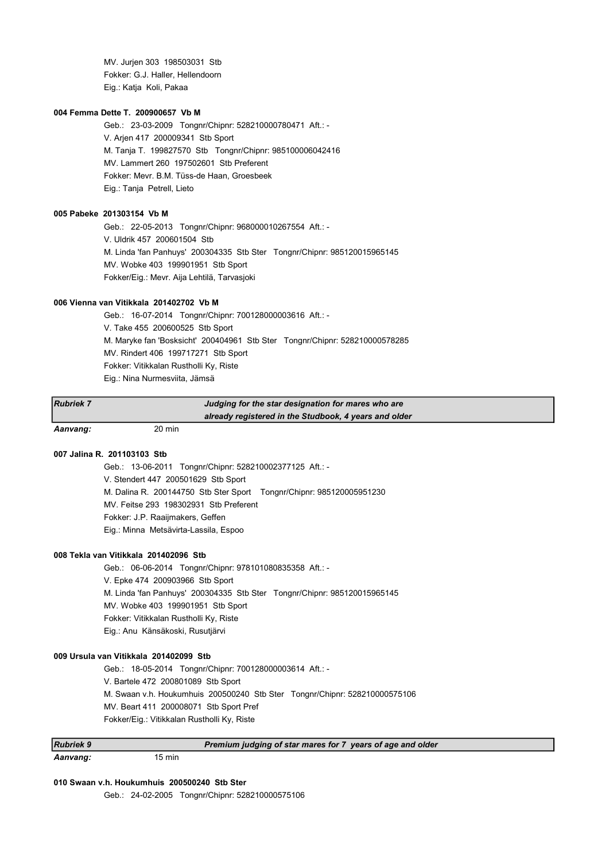MV. Jurjen 303 198503031 Stb Fokker: G.J. Haller, Hellendoorn Eig.: Katja Koli, Pakaa

# 004 Femma Dette T. 200900657 Vb M

Geb.: 23-03-2009 Tongnr/Chipnr: 528210000780471 Aft.: - V. Arjen 417 200009341 Stb Sport M. Tanja T. 199827570 Stb Tongnr/Chipnr: 985100006042416 MV. Lammert 260 197502601 Stb Preferent Fokker: Mevr. B.M. Tüss-de Haan, Groesbeek Eig.: Tanja Petrell, Lieto

#### 005 Pabeke 201303154 Vb M

Geb.: 22-05-2013 Tongnr/Chipnr: 968000010267554 Aft.: - V. Uldrik 457 200601504 Stb M. Linda 'fan Panhuys' 200304335 Stb Ster Tongnr/Chipnr: 985120015965145 MV. Wobke 403 199901951 Stb Sport Fokker/Eig.: Mevr. Aija Lehtilä, Tarvasjoki

# 006 Vienna van Vitikkala 201402702 Vb M

Geb.: 16-07-2014 Tongnr/Chipnr: 700128000003616 Aft.: - V. Take 455 200600525 Stb Sport M. Maryke fan 'Bosksicht' 200404961 Stb Ster Tongnr/Chipnr: 528210000578285 MV. Rindert 406 199717271 Stb Sport Fokker: Vitikkalan Rustholli Ky, Riste Eig.: Nina Nurmesviita, Jämsä

| <b>Rubriek 7</b> | Judging for the star designation for mares who are    |
|------------------|-------------------------------------------------------|
|                  | already registered in the Studbook, 4 years and older |
| Aanvang:         | 20 min                                                |

# 007 Jalina R. 201103103 Stb

Geb.: 13-06-2011 Tongnr/Chipnr: 528210002377125 Aft.: - V. Stendert 447 200501629 Stb Sport M. Dalina R. 200144750 Stb Ster Sport Tongnr/Chipnr: 985120005951230 MV. Feitse 293 198302931 Stb Preferent Fokker: J.P. Raaijmakers, Geffen Eig.: Minna Metsävirta-Lassila, Espoo

# 008 Tekla van Vitikkala 201402096 Stb

Geb.: 06-06-2014 Tongnr/Chipnr: 978101080835358 Aft.: - V. Epke 474 200903966 Stb Sport M. Linda 'fan Panhuys' 200304335 Stb Ster Tongnr/Chipnr: 985120015965145 MV. Wobke 403 199901951 Stb Sport Fokker: Vitikkalan Rustholli Ky, Riste Eig.: Anu Känsäkoski, Rusutjärvi

### 009 Ursula van Vitikkala 201402099 Stb

Geb.: 18-05-2014 Tongnr/Chipnr: 700128000003614 Aft.: - V. Bartele 472 200801089 Stb Sport M. Swaan v.h. Houkumhuis 200500240 Stb Ster Tongnr/Chipnr: 528210000575106 MV. Beart 411 200008071 Stb Sport Pref Fokker/Eig.: Vitikkalan Rustholli Ky, Riste

| <b>IRubriek 9</b> |        | Premium judging of star mares for 7 years of age and older |
|-------------------|--------|------------------------------------------------------------|
| Aanvang:          | 15 min |                                                            |

#### 010 Swaan v.h. Houkumhuis 200500240 Stb Ster

Geb.: 24-02-2005 Tongnr/Chipnr: 528210000575106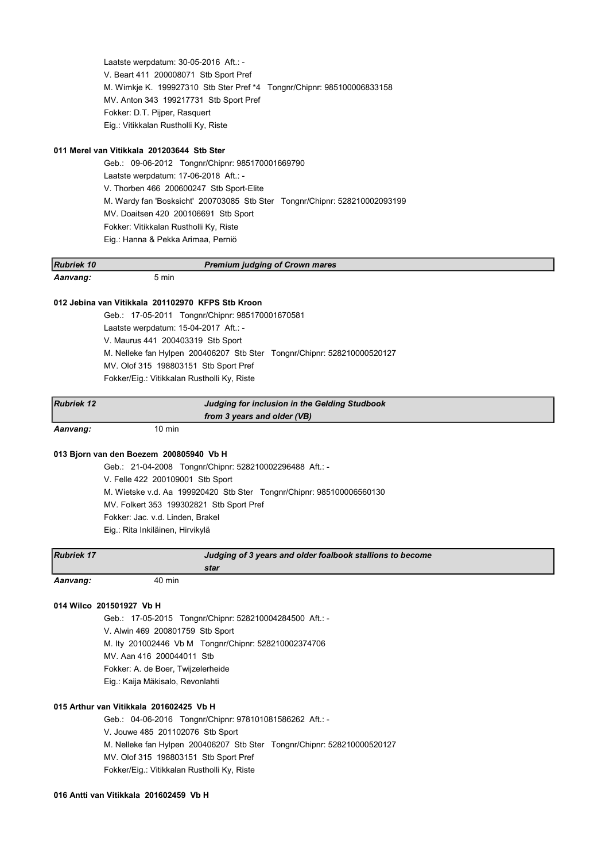Laatste werpdatum: 30-05-2016 Aft.: - V. Beart 411 200008071 Stb Sport Pref M. Wimkje K. 199927310 Stb Ster Pref \*4 Tongnr/Chipnr: 985100006833158 MV. Anton 343 199217731 Stb Sport Pref Fokker: D.T. Pijper, Rasquert Eig.: Vitikkalan Rustholli Ky, Riste

# 011 Merel van Vitikkala 201203644 Stb Ster

Geb.: 09-06-2012 Tongnr/Chipnr: 985170001669790 Laatste werpdatum: 17-06-2018 Aft.: - V. Thorben 466 200600247 Stb Sport-Elite M. Wardy fan 'Bosksicht' 200703085 Stb Ster Tongnr/Chipnr: 528210002093199 MV. Doaitsen 420 200106691 Stb Sport Fokker: Vitikkalan Rustholli Ky, Riste Eig.: Hanna & Pekka Arimaa, Perniö

| <b>Rubriek 10</b> |       | <b>Premium judging of Crown mares</b> |  |
|-------------------|-------|---------------------------------------|--|
| Aanvang:          | 5 min |                                       |  |

# 012 Jebina van Vitikkala 201102970 KFPS Stb Kroon

Geb.: 17-05-2011 Tongnr/Chipnr: 985170001670581 Laatste werpdatum: 15-04-2017 Aft.: - V. Maurus 441 200403319 Stb Sport M. Nelleke fan Hylpen 200406207 Stb Ster Tongnr/Chipnr: 528210000520127 MV. Olof 315 198803151 Stb Sport Pref Fokker/Eig.: Vitikkalan Rustholli Ky, Riste

| <b>Rubriek 12</b> |        | Judging for inclusion in the Gelding Studbook |  |
|-------------------|--------|-----------------------------------------------|--|
|                   |        | from 3 years and older (VB)                   |  |
| Aanvang:          | 10 min |                                               |  |

#### 013 Bjorn van den Boezem 200805940 Vb H

Geb.: 21-04-2008 Tongnr/Chipnr: 528210002296488 Aft.: - V. Felle 422 200109001 Stb Sport M. Wietske v.d. Aa 199920420 Stb Ster Tongnr/Chipnr: 985100006560130 MV. Folkert 353 199302821 Stb Sport Pref Fokker: Jac. v.d. Linden, Brakel Eig.: Rita Inkiläinen, Hirvikylä

| <b>Rubriek 17</b> |        | Judging of 3 years and older foalbook stallions to become |  |
|-------------------|--------|-----------------------------------------------------------|--|
|                   |        | star                                                      |  |
| Aanvang:          | 40 min |                                                           |  |

# 014 Wilco 201501927 Vb H

Geb.: 17-05-2015 Tongnr/Chipnr: 528210004284500 Aft.: - V. Alwin 469 200801759 Stb Sport M. Ity 201002446 Vb M Tongnr/Chipnr: 528210002374706 MV. Aan 416 200044011 Stb Fokker: A. de Boer, Twijzelerheide Eig.: Kaija Mäkisalo, Revonlahti

# 015 Arthur van Vitikkala 201602425 Vb H

Geb.: 04-06-2016 Tongnr/Chipnr: 978101081586262 Aft.: - V. Jouwe 485 201102076 Stb Sport M. Nelleke fan Hylpen 200406207 Stb Ster Tongnr/Chipnr: 528210000520127 MV. Olof 315 198803151 Stb Sport Pref Fokker/Eig.: Vitikkalan Rustholli Ky, Riste